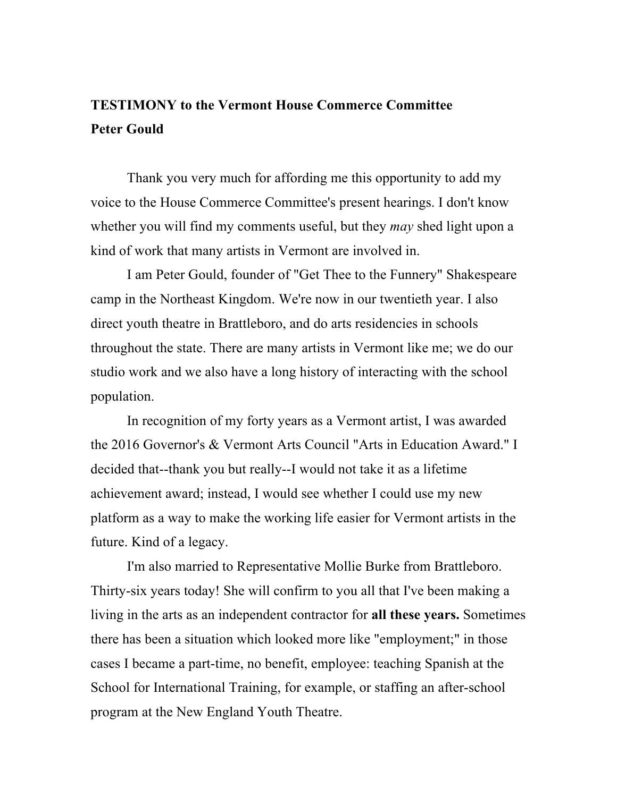## **TESTIMONY to the Vermont House Commerce Committee Peter Gould**

Thank you very much for affording me this opportunity to add my voice to the House Commerce Committee's present hearings. I don't know whether you will find my comments useful, but they *may* shed light upon a kind of work that many artists in Vermont are involved in.

I am Peter Gould, founder of "Get Thee to the Funnery" Shakespeare camp in the Northeast Kingdom. We're now in our twentieth year. I also direct youth theatre in Brattleboro, and do arts residencies in schools throughout the state. There are many artists in Vermont like me; we do our studio work and we also have a long history of interacting with the school population.

In recognition of my forty years as a Vermont artist, I was awarded the 2016 Governor's & Vermont Arts Council "Arts in Education Award." I decided that--thank you but really--I would not take it as a lifetime achievement award; instead, I would see whether I could use my new platform as a way to make the working life easier for Vermont artists in the future. Kind of a legacy.

I'm also married to Representative Mollie Burke from Brattleboro. Thirty-six years today! She will confirm to you all that I've been making a living in the arts as an independent contractor for **all these years.** Sometimes there has been a situation which looked more like "employment;" in those cases I became a part-time, no benefit, employee: teaching Spanish at the School for International Training, for example, or staffing an after-school program at the New England Youth Theatre.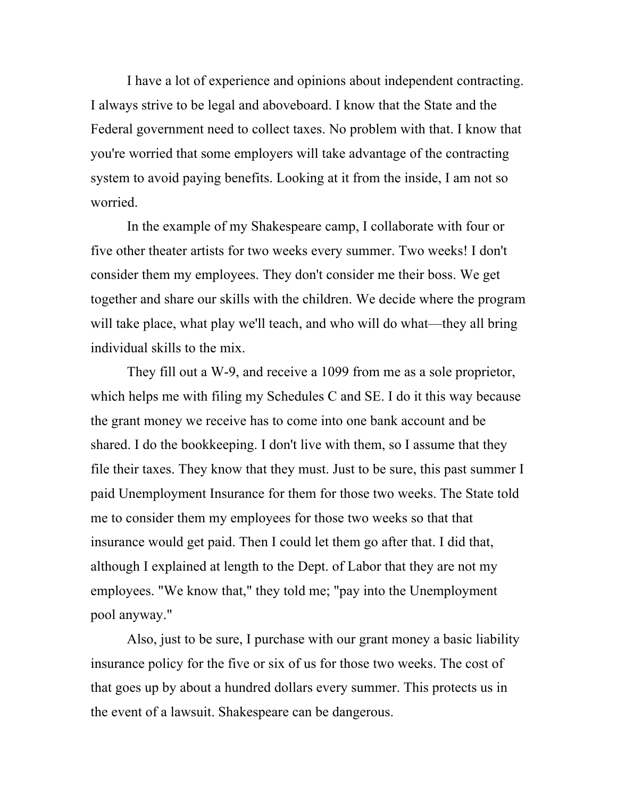I have a lot of experience and opinions about independent contracting. I always strive to be legal and aboveboard. I know that the State and the Federal government need to collect taxes. No problem with that. I know that you're worried that some employers will take advantage of the contracting system to avoid paying benefits. Looking at it from the inside, I am not so worried.

In the example of my Shakespeare camp, I collaborate with four or five other theater artists for two weeks every summer. Two weeks! I don't consider them my employees. They don't consider me their boss. We get together and share our skills with the children. We decide where the program will take place, what play we'll teach, and who will do what—they all bring individual skills to the mix.

They fill out a W-9, and receive a 1099 from me as a sole proprietor, which helps me with filing my Schedules C and SE. I do it this way because the grant money we receive has to come into one bank account and be shared. I do the bookkeeping. I don't live with them, so I assume that they file their taxes. They know that they must. Just to be sure, this past summer I paid Unemployment Insurance for them for those two weeks. The State told me to consider them my employees for those two weeks so that that insurance would get paid. Then I could let them go after that. I did that, although I explained at length to the Dept. of Labor that they are not my employees. "We know that," they told me; "pay into the Unemployment pool anyway."

Also, just to be sure, I purchase with our grant money a basic liability insurance policy for the five or six of us for those two weeks. The cost of that goes up by about a hundred dollars every summer. This protects us in the event of a lawsuit. Shakespeare can be dangerous.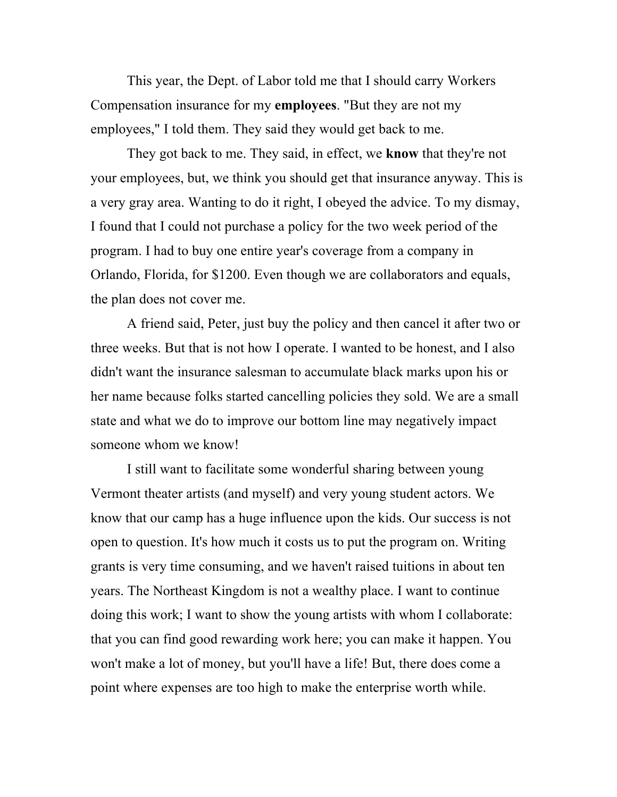This year, the Dept. of Labor told me that I should carry Workers Compensation insurance for my **employees**. "But they are not my employees," I told them. They said they would get back to me.

They got back to me. They said, in effect, we **know** that they're not your employees, but, we think you should get that insurance anyway. This is a very gray area. Wanting to do it right, I obeyed the advice. To my dismay, I found that I could not purchase a policy for the two week period of the program. I had to buy one entire year's coverage from a company in Orlando, Florida, for \$1200. Even though we are collaborators and equals, the plan does not cover me.

A friend said, Peter, just buy the policy and then cancel it after two or three weeks. But that is not how I operate. I wanted to be honest, and I also didn't want the insurance salesman to accumulate black marks upon his or her name because folks started cancelling policies they sold. We are a small state and what we do to improve our bottom line may negatively impact someone whom we know!

I still want to facilitate some wonderful sharing between young Vermont theater artists (and myself) and very young student actors. We know that our camp has a huge influence upon the kids. Our success is not open to question. It's how much it costs us to put the program on. Writing grants is very time consuming, and we haven't raised tuitions in about ten years. The Northeast Kingdom is not a wealthy place. I want to continue doing this work; I want to show the young artists with whom I collaborate: that you can find good rewarding work here; you can make it happen. You won't make a lot of money, but you'll have a life! But, there does come a point where expenses are too high to make the enterprise worth while.